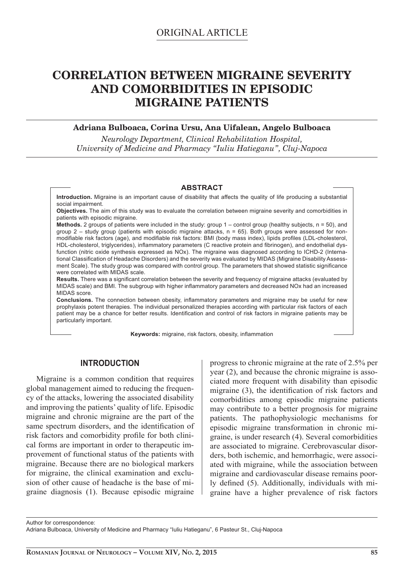# **CORRELATION BETWEEN MIGRAINE SEVERITY AND COMORBIDITIES IN EPISODIC MIGRAINE PATIENTS**

## **Adriana Bulboaca, Corina Ursu, Ana Uifalean, Angelo Bulboaca**

*Neurology Department, Clinical Rehabilitation Hospital, University of Medicine and Pharmacy "Iuliu Hatieganu", Cluj-Napoca*

#### **ABSTRACT**

**Introduction.** Migraine is an important cause of disability that affects the quality of life producing a substantial social impairment.

**Objectives.** The aim of this study was to evaluate the correlation between migraine severity and comorbidities in patients with episodic migraine.

**Methods.** 2 groups of patients were included in the study: group 1 – control group (healthy subjects, n = 50), and group  $2$  – study group (patients with episodic migraine attacks,  $n = 65$ ). Both groups were assessed for nonmodifiable risk factors (age), and modifiable risk factors: BMI (body mass index), lipids profiles (LDL-cholesterol, HDL-cholesterol, triglycerides), inflammatory parameters (C reactive protein and fibrinogen), and endothelial dysfunction (nitric oxide synthesis expressed as NOx). The migraine was diagnosed according to ICHD-2 (International Classification of Headache Disorders) and the severity was evaluated by MIDAS (Migraine Disability Assessment Scale). The study group was compared with control group. The parameters that showed statistic significance were correlated with MIDAS scale.

Results. There was a significant correlation between the severity and frequency of migraine attacks (evaluated by MIDAS scale) and BMI. The subgroup with higher inflammatory parameters and decreased NOx had an increased MIDAS score.

**Conclusions.** The connection between obesity, inflammatory parameters and migraine may be useful for new prophylaxis potent therapies. The individual personalized therapies according with particular risk factors of each patient may be a chance for better results. Identification and control of risk factors in migraine patients may be particularly important.

**Keywords:** migraine, risk factors, obesity, inflammation

# **INTRODUCTION**

Migraine is a common condition that requires global management aimed to reducing the frequency of the attacks, lowering the associated disability and improving the patients' quality of life. Episodic migraine and chronic migraine are the part of the same spectrum disorders, and the identification of risk factors and comorbidity profile for both clinical forms are important in order to therapeutic improvement of functional status of the patients with migraine. Because there are no biological markers for migraine, the clinical examination and exclusion of other cause of headache is the base of migraine diagnosis (1). Because episodic migraine

progress to chronic migraine at the rate of 2.5% per year (2), and because the chronic migraine is associated more frequent with disability than episodic migraine  $(3)$ , the identification of risk factors and comorbidities among episodic migraine patients may contribute to a better prognosis for migraine patients. The pathophysiologic mechanisms for episodic migraine transformation in chronic migraine, is under research (4). Several comorbidities are associated to migraine. Cerebrovascular disorders, both ischemic, and hemorrhagic, were associated with migraine, while the association between migraine and cardiovascular disease remains poorly defined (5). Additionally, individuals with migraine have a higher prevalence of risk factors

Author for correspondence: Adriana Bulboaca, University of Medicine and Pharmacy "Iuliu Hatieganu", 6 Pasteur St., Cluj-Napoca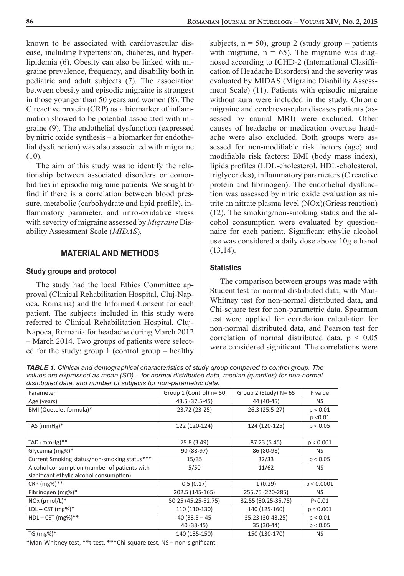known to be associated with cardiovascular disease, including hypertension, diabetes, and hyperlipidemia (6). Obesity can also be linked with migraine prevalence, frequency, and disability both in pediatric and adult subjects (7). The association between obesity and episodic migraine is strongest in those younger than 50 years and women (8). The C reactive protein (CRP) as a biomarker of inflammation showed to be potential associated with migraine (9). The endothelial dysfunction (expressed by nitric oxide synthesis – a biomarker for endothelial dysfunction) was also associated with migraine (10).

The aim of this study was to identify the relationship between associated disorders or comorbidities in episodic migraine patients. We sought to find if there is a correlation between blood pressure, metabolic (carbohydrate and lipid profile), inflammatory parameter, and nitro-oxidative stress with severity of migraine assessed by *Migraine* Disability Assessment Scale (*MIDAS*).

# **MATERIAL AND METHODS**

#### **Study groups and protocol**

The study had the local Ethics Committee approval (Clinical Rehabilitation Hospital, Cluj-Napoca, Romania) and the Informed Consent for each patient. The subjects included in this study were referred to Clinical Rehabilitation Hospital, Cluj-Napoca, Romania for headache during March 2012 – March 2014. Two groups of patients were selected for the study: group 1 (control group – healthy subjects,  $n = 50$ ), group 2 (study group – patients with migraine,  $n = 65$ ). The migraine was diagnosed according to ICHD-2 (International Clasiffication of Headache Disorders) and the severity was evaluated by MIDAS (Migraine Disability Assessment Scale) (11). Patients with episodic migraine without aura were included in the study. Chronic migraine and cerebrovascular diseases patients (assessed by cranial MRI) were excluded. Other causes of headache or medication overuse headache were also excluded. Both groups were assessed for non-modifiable risk factors (age) and modifiable risk factors: BMI (body mass index), lipids profiles (LDL-cholesterol, HDL-cholesterol, triglycerides), inflammatory parameters (C reactive protein and fibrinogen). The endothelial dysfunction was assessed by nitric oxide evaluation as nitrite an nitrate plasma level (NOx)(Griess reaction) (12). The smoking/non-smoking status and the alcohol consumption were evaluated by questionnaire for each patient. Significant ethylic alcohol use was considered a daily dose above 10g ethanol (13,14).

### **Statistics**

The comparison between groups was made with Student test for normal distributed data, with Man-Whitney test for non-normal distributed data, and Chi-square test for non-parametric data. Spearman test were applied for correlation calculation for non-normal distributed data, and Pearson test for correlation of normal distributed data.  $p < 0.05$ were considered significant. The correlations were

*TABLE 1. Clinical and demographical characteristics of study group compared to control group. The values are expressed as mean (SD) – for normal distributed data, median (quartiles) for non-normal distributed data, and number of subjects for non-parametric data.*

| alou loutou auta, aha hambor or capjocto for holl paramouno auta.                        |                               |                                |                      |
|------------------------------------------------------------------------------------------|-------------------------------|--------------------------------|----------------------|
| Parameter                                                                                | Group $1$ (Control) $n=50$    | Group 2 (Study) $N = 65$       | P value              |
| Age (years)                                                                              | 43.5 (37.5-45)                | 44 (40-45)                     | NS.                  |
| BMI (Quetelet formula)*                                                                  | 23.72 (23-25)                 | 26.3 (25.5-27)                 | p < 0.01<br>p < 0.01 |
| TAS $(mmHg)*$                                                                            | 122 (120-124)                 | 124 (120-125)                  | p < 0.05             |
| TAD (mmHg)**                                                                             | 79.8 (3.49)                   | 87.23 (5.45)                   | p < 0.001            |
| Glycemia (mg%)*                                                                          | 90 (88-97)                    | 86 (80-98)                     | NS.                  |
| Current Smoking status/non-smoking status***                                             | 15/35                         | 32/33                          | p < 0.05             |
| Alcohol consumption (number of patients with<br>significant ethylic alcohol consumption) | 5/50                          | 11/62                          | NS.                  |
| $CRP (mg%)**$                                                                            | 0.5(0.17)                     | 1(0.29)                        | p < 0.0001           |
| Fibrinogen (mg%)*                                                                        | 202.5 (145-165)               | 255.75 (220-285)               | NS.                  |
| NOx $(\mu \text{mol/L})^*$                                                               | 50.25 (45.25-52.75)           | 32.55 (30.25-35.75)            | P < 0.01             |
| $LDL - CST$ (mg%)*                                                                       | 110 (110-130)                 | 140 (125-160)                  | p < 0.001            |
| $HDL - CST$ (mg%)**                                                                      | $40(33.5 - 45)$<br>40 (33-45) | 35.23 (30-43.25)<br>35 (30-44) | p < 0.01<br>p < 0.05 |
| TG $(mg%)^*$                                                                             | 140 (135-150)                 | 150 (130-170)                  | NS.                  |

\*Man-Whitney test, \*\*t-test, \*\*\*Chi-square test, NS - non-significant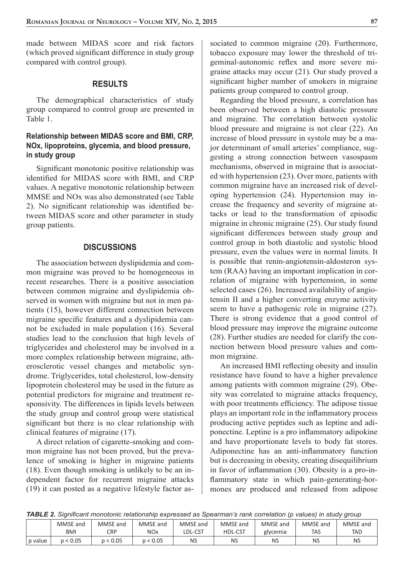made between MIDAS score and risk factors (which proved significant difference in study group) compared with control group).

#### **RESULTS**

The demographical characteristics of study group compared to control group are presented in Table 1.

### **Relationship between MIDAS score and BMI, CRP, NOx, lipoproteins, glycemia, and blood pressure, in study group**

Significant monotonic positive relationship was identified for MIDAS score with BMI, and CRP values. A negative monotonic relationship between MMSE and NOx was also demonstrated (see Table 2). No significant relationship was identified between MIDAS score and other parameter in study group patients.

#### **DISCUSSIONS**

The association between dyslipidemia and common migraine was proved to be homogeneous in recent researches. There is a positive association between common migraine and dyslipidemia observed in women with migraine but not in men patients (15), however different connection between migraine specific features and a dyslipidemia cannot be excluded in male population (16). Several studies lead to the conclusion that high levels of triglycerides and cholesterol may be involved in a more complex relationship between migraine, atherosclerotic vessel changes and metabolic syndrome. Triglycerides, total cholesterol, low-density lipoprotein cholesterol may be used in the future as potential predictors for migraine and treatment responsivity. The differences in lipids levels between the study group and control group were statistical significant but there is no clear relationship with clinical features of migraine (17).

A direct relation of cigarette-smoking and common migraine has not been proved, but the prevalence of smoking is higher in migraine patients (18). Even though smoking is unlikely to be an independent factor for recurrent migraine attacks (19) it can posted as a negative lifestyle factor associated to common migraine (20). Furthermore, tobacco exposure may lower the threshold of trigeminal-autonomic reflex and more severe migraine attacks may occur (21). Our study proved a significant higher number of smokers in migraine patients group compared to control group.

Regarding the blood pressure, a correlation has been observed between a high diastolic pressure and migraine. The correlation between systolic blood pressure and migraine is not clear (22). An increase of blood pressure in systole may be a major determinant of small arteries' compliance, suggesting a strong connection between vasospasm mechanisms, observed in migraine that is associated with hypertension (23). Over more, patients with common migraine have an increased risk of developing hypertension (24). Hypertension may increase the frequency and severity of migraine attacks or lead to the transformation of episodic migraine in chronic migraine (25). Our study found significant differences between study group and control group in both diastolic and systolic blood pressure, even the values were in normal limits. It is possible that renin-angiotensin-aldosteron system (RAA) having an important implication in correlation of migraine with hypertension, in some selected cases (26). Increased availability of angiotensin II and a higher converting enzyme activity seem to have a pathogenic role in migraine (27). There is strong evidence that a good control of blood pressure may improve the migraine outcome (28). Further studies are needed for clarify the connection between blood pressure values and common migraine.

An increased BMI reflecting obesity and insulin resistance have found to have a higher prevalence among patients with common migraine (29). Obesity was correlated to migraine attacks frequency, with poor treatments efficiency. The adipose tissue plays an important role in the inflammatory process producing active peptides such as leptine and adiponectine. Leptine is a pro inflammatory adipokine and have proportionate levels to body fat stores. Adiponectine has an anti-inflammatory function but is decreasing in obesity, creating disequilibrium in favor of inflammation  $(30)$ . Obesity is a pro-inflammatory state in which pain-generating-hormones are produced and released from adipose

| TABLE 2. Significant monotonic relationship expressed as Spearman's rank correlation (p values) in study group |  |  |  |  |  |  |
|----------------------------------------------------------------------------------------------------------------|--|--|--|--|--|--|
|----------------------------------------------------------------------------------------------------------------|--|--|--|--|--|--|

|         | MMSE and   | MMSE and | MMSE and              | MMSE and  | MMSE and       | MMSE and | MMSE and | MMSE and   |
|---------|------------|----------|-----------------------|-----------|----------------|----------|----------|------------|
|         | <b>BMI</b> | CRP      | <b>NO<sub>x</sub></b> | LDL-CST   | <b>HDL-CST</b> | glycemia | TAS      | <b>TAD</b> |
| p value | p < 0.05   | 0.05     | .0.05                 | <b>NS</b> | NS             | NS       | NS       | NS         |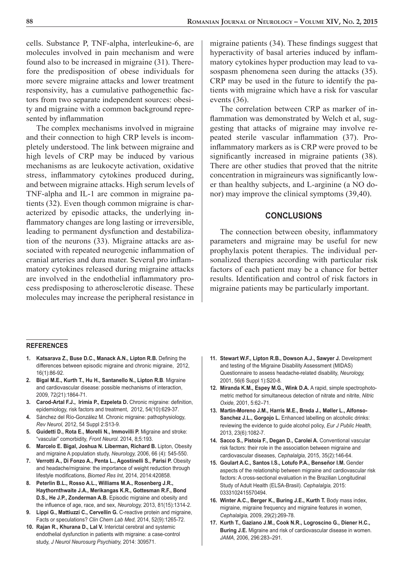cells. Substance P, TNF-alpha, interleukine-6, are molecules involved in pain mechanism and were found also to be increased in migraine (31). Therefore the predisposition of obese individuals for more severe migraine attacks and lower treatment responsivity, has a cumulative pathogenethic factors from two separate independent sources: obesity and migraine with a common background represented by inflammation

The complex mechanisms involved in migraine and their connection to high CRP levels is incompletely understood. The link between migraine and high levels of CRP may be induced by various mechanisms as are leukocyte activation, oxidative stress, inflammatory cytokines produced during, and between migraine attacks. High serum levels of TNF-alpha and IL-1 are common in migraine patients (32). Even though common migraine is characterized by episodic attacks, the underlying inflammatory changes are long lasting or irreversible, leading to permanent dysfunction and destabilization of the neurons (33). Migraine attacks are associated with repeated neurogenic inflammation of cranial arteries and dura mater. Several pro inflammatory cytokines released during migraine attacks are involved in the endothelial inflammatory process predisposing to atherosclerotic disease. These molecules may increase the peripheral resistance in

migraine patients  $(34)$ . These findings suggest that hyperactivity of basal arteries induced by inflammatory cytokines hyper production may lead to vasospasm phenomena seen during the attacks (35). CRP may be used in the future to identify the patients with migraine which have a risk for vascular events (36).

The correlation between CRP as marker of inflammation was demonstrated by Welch et al, suggesting that attacks of migraine may involve repeated sterile vascular inflammation (37). Proinflammatory markers as is CRP were proved to be significantly increased in migraine patients (38). There are other studies that proved that the nitrite concentration in migraineurs was significantly lower than healthy subjects, and L-arginine (a NO donor) may improve the clinical symptoms (39,40).

#### **CONCLUSIONS**

The connection between obesity, inflammatory parameters and migraine may be useful for new prophylaxis potent therapies. The individual personalized therapies according with particular risk factors of each patient may be a chance for better results. Identification and control of risk factors in migraine patients may be particularly important.

#### **REFERENCES**

- 1. Katsarava Z., Buse D.C., Manack A.N., Lipton R.B. Defining the differences between episodic migraine and chronic migraine, 2012, 16(1):86-92.
- **2. Bigal M.E., Kurth T., Hu H., Santanello N., Lipton R.B**. Migraine and cardiovascular disease: possible mechanisms of interaction, 2009, 72(21):1864-71.
- **3. Carod-Artal F.J., Irimia P., Ezpeleta D.** Chronic migraine: definition, epidemiology, risk factors and treatment, 2012, 54(10):629-37.
- **4.** Sánchez del Río-González M. Chronic migraine: pathophysiology, *Rev Neurol,* 2012, 54 Suppl 2:S13-9.
- **5. Guidetti D., Rota E., Morelli N., Immovilli P.** Migraine and stroke: "vascular" comorbidity, *Front Neurol.* 2014, 8;5:193.
- **6. Marcelo E. Bigal, Joshua N. Liberman, Richard B.** Lipton, Obesity and migraine A population study, *Neurology,* 2006, 66 (4): 545-550.
- **7. Verrotti A., Di Fonzo A., Penta L., Agostinelli S., Parisi P.** Obesity and headache/migraine: the importance of weight reduction through lifestyle modifications, *Biomed Res Int*, 2014, 2014:420858.
- **8. Peterlin B.L., Rosso A.L., Williams M.A., Rosenberg J.R., Haythornthwaite J.A., Merikangas K.R., Gottesman R.F., Bond D.S., He J.P., Zonderman A.B.** Episodic migraine and obesity and the infl uence of age, race, and sex, *Neurology,* 2013, 81(15):1314-2.
- **9. Lippi G., Mattiuzzi C., Cervellin G.** C-reactive protein and migraine, Facts or speculations? *Clin Chem Lab Med,* 2014, 52(9):1265-72.
- **10. Rajan R., Khurana D., Lal V.** Interictal cerebral and systemic endothelial dysfunction in patients with migraine: a case-control study, *J Neurol Neurosurg Psychiatry,* 2014: 309571.
- **11. Stewart W.F., Lipton R.B., Dowson A.J., Sawyer J.** Development and testing of the Migraine Disability Assessment (MIDAS) Questionnaire to assess headache-related disability, *Neurology,* 2001, 56(6 Suppl 1):S20-8.
- **12. Miranda K.M., Espey M.G., Wink D.A.** A rapid, simple spectrophotometric method for simultaneous detection of nitrate and nitrite, *Nitric Oxide,* 2001, 5:62–71.
- **13. Martin-Moreno J.M., Harris M.E., Breda J., Møller L., Alfonso-Sanchez J.L., Gorgojo L.** Enhanced labelling on alcoholic drinks: reviewing the evidence to guide alcohol policy, *Eur J Public Health,*  2013, 23(6):1082-7.
- **14. Sacco S., Pistoia F., Degan D., Carolei A.** Conventional vascular risk factors: their role in the association between migraine and cardiovascular diseases, *Cephalalgia,* 2015, 35(2):146-64.
- **15. Goulart A.C., Santos I.S., Lotufo P.A., Benseñor I.M.** Gender aspects of the relationship between migraine and cardiovascular risk factors: A cross-sectional evaluation in the Brazilian Longitudinal Study of Adult Health (ELSA-Brasil). *Cephalalgia,* 2015: 0333102415570494.
- **16. Winter A.C., Berger K., Buring J.E., Kurth T.** Body mass index, migraine, migraine frequency and migraine features in women, *Cephalalgia,* 2009, 29(2):269-78.
- **17. Kurth T., Gaziano J.M., Cook N.R., Logroscino G., Diener H.C., Buring J.E.** Migraine and risk of cardiovascular disease in women. *JAMA,* 2006, 296:283–291.